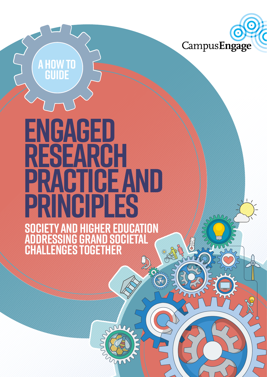

m

# **Engaged Research TIGEAND**<br>RIBIER **Principles**

**a how to**

**guide**

**Society and Higher Education Addressing Grand Societal Challenges Together**

dout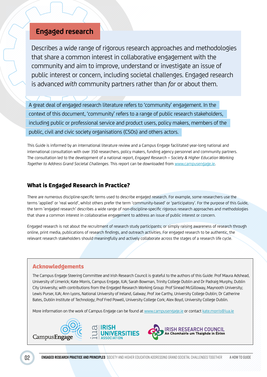# **Engaged research**

Describes a wide range of rigorous research approaches and methodologies that share a common interest in collaborative engagement with the community and aim to improve, understand or investigate an issue of public interest or concern, including societal challenges. Engaged research is advanced *with* community partners rather than *for* or about them.

A great deal of engaged research literature refers to 'community' engagement. In the context of this document, 'community' refers to a range of public research stakeholders, including public or professional service and product users, policy makers, members of the public, civil and civic society organisations (CSOs) and others actors.

This Guide is informed by an international literature review and a Campus Engage facilitated year-long national and international consultation with over 350 researchers, policy makers, funding agency personnel and community partners. The consultation led to the development of a national report, *Engaged Research – Society & Higher Education Working Together to Address Grand Societal Challenges*. This report can be downloaded from www.campusengage.ie.

# What is Engaged Research in Practice?

There are numerous discipline-specific terms used to describe engaged research. For example, some researchers use the terms 'applied' or 'real world', whilst others prefer the term 'community-based' or 'participatory'. For the purpose of this Guide, the term 'engaged research' describes a wide range of non-discipline-specific rigorous research approaches and methodologies that share a common interest in collaborative engagement to address an issue of public interest or concern.

Engaged research is not about the recruitment of research study participants; or simply raising awareness of research through online, print media, publications of research findings, and outreach activities. For engaged research to be authentic, the relevant research stakeholders should meaningfully and actively collaborate across the stages of a research life cycle.

# Acknowledgements

The Campus Engage Steering Committee and Irish Research Council is grateful to the authors of this Guide: Prof Maura Adshead, University of Limerick; Kate Morris, Campus Engage, IUA; Sarah Bowman, Trinity College Dublin and Dr Padraig Murphy, Dublin City University; with contributions from the Engaged Research Working Group: Prof Sinead McGilloway, Maynooth University; Lewis Purser, IUA; Ann Lyons, National University of Ireland, Galway; Prof Joe Carthy, University College Dublin; Dr Catherine Bates, Dublin Institute of Technology; Prof Fred Powell, University College Cork; Alex Boyd, University College Dublin.

More information on the work of Campus Engage can be found at www.campusengage.ie or contact kate.morris@iua.ie

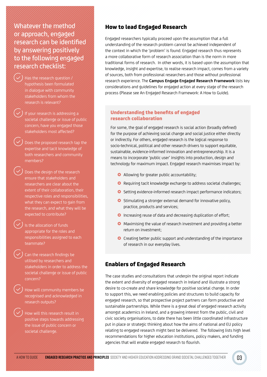Whatever the method or approach, engaged research can be identified by answering positively to the following engaged research checklist:

> ). Has the research question  $\ell$ hypothesis been formulated in dialogue with community stakeholders from whom the research is relevant?

 If your research is addressing a societal challenge or issue of public concern, have you engaged those stakeholders most affected?

 Does the proposed research tap the expertise and tacit knowledge of both researchers and community members?

 Does the design of the research ensure that stakeholders and researchers are clear about the extent of their collaboration, their respective roles and responsibilities, what they can expect to gain from the research, and what they will be expected to contribute?

 Is the allocation of funds appropriate for the roles and responsibilities assigned to each teammate?

 Can the research findings be utilised by researchers and stakeholders in order to address the societal challenge or issue of public concern?

 How will community members be recognised and acknowledged in research outputs?

 How will this research result in positive steps towards addressing the issue of public concern or societal challenge.

# How to lead Engaged Research

Engaged researchers typically proceed upon the assumption that a full understanding of the research problem cannot be achieved independent of the context in which the 'problem' is found. Engaged research thus represents a more collaborative form of research association than is the norm in more traditional forms of research. In other words, it is based upon the assumption that knowledge, insight and expertise, to realise research impact, comes from a variety of sources, both from professional researchers and those without professional research experience. The **Campus Engage Engaged Research Framework** lists key considerations and guidelines for engaged action at every stage of the research process (Please see An Engaged Research Framework: A How to Guide).

### Understanding the benefits of engaged research collaboration

For some, the goal of engaged research is social action (broadly defined) for the purpose of achieving social change and social justice either directly or indirectly. For others, engaged research is the logical response to socio-technical, political and other research drivers to support equitable, sustainable, evidence-informed innovation and entrepreneurship. It is a means to incorporate 'public user' insights into production, design and technology for maximum impact. Engaged research maximises impact by:

- Allowing for greater public accountability;
- **O** Requiring tacit knowledge exchange to address societal challenges;
- **O** Setting evidence-informed research impact performance indicators;
- **O** Stimulating a stronger external demand for innovative policy, practice, products and services;
- **O** Increasing reuse of data and decreasing duplication of effort;
- **O** Maximising the value of research investment and providing a better return on investment;
- **O** Creating better public support and understanding of the importance of research in our everyday lives.

# Enablers of Engaged Research

The case studies and consultations that underpin the original report indicate the extent and diversity of engaged research in Ireland and illustrate a strong desire to co-create and share knowledge for positive societal change. In order to support this, we need enabling policies and structures to build capacity for engaged research, so that prospective project partners can form productive and sustainable partnerships. While there is a great deal of engaged research activity amongst academics in Ireland, and a growing interest from the public, civil and civic society organisations, to date there has been little coordinated infrastructure put in place or strategic thinking about how the aims of national and EU policy relating to engaged research might best be delivered. The following lists high level recommendations for higher education institutions, policy makers, and funding agencies that will enable engaged research to flourish.